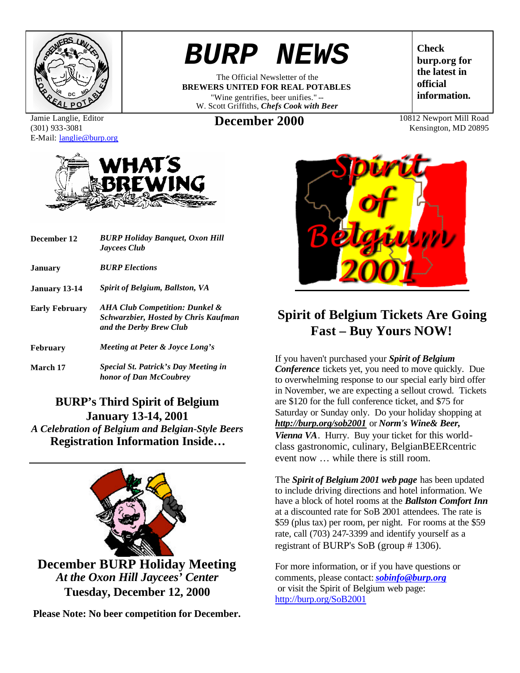

Jamie Langlie, Editor (301) 933-3081 E-Mail: langlie@burp.org



| December 12           | <b>BURP Holiday Banguet, Oxon Hill</b><br><b>Jaycees Club</b>                                            |  |
|-----------------------|----------------------------------------------------------------------------------------------------------|--|
| <b>January</b>        | <b>BURP</b> Elections                                                                                    |  |
| <b>January 13-14</b>  | <b>Spirit of Belgium, Ballston, VA</b>                                                                   |  |
| <b>Early February</b> | AHA Club Competition: Dunkel &<br><b>Schwarzbier, Hosted by Chris Kaufman</b><br>and the Derby Brew Club |  |
| <b>February</b>       | Meeting at Peter & Joyce Long's                                                                          |  |
| March 17              | Special St. Patrick's Day Meeting in<br>honor of Dan McCoubrey                                           |  |

#### **BURP's Third Spirit of Belgium January 13-14, 2001** *A Celebration of Belgium and Belgian-Style Beers*

**Registration Information Inside…**



**Please Note: No beer competition for December.**

# *BURP NEWS*

The Official Newsletter of the **BREWERS UNITED FOR REAL POTABLES** "Wine gentrifies, beer unifies." -- W. Scott Griffiths, *Chefs Cook with Beer*

**Check burp.org for the latest in official information.**

**December 2000** 10812 Newport Mill Road

Kensington, MD 20895



## **Spirit of Belgium Tickets Are Going Fast – Buy Yours NOW!**

If you haven't purchased your *Spirit of Belgium Conference* tickets yet, you need to move quickly. Due to overwhelming response to our special early bird offer in November, we are expecting a sellout crowd. Tickets are \$120 for the full conference ticket, and \$75 for Saturday or Sunday only. Do your holiday shopping at *http://burp.org/sob2001* or *Norm's Wine& Beer, Vienna VA*. Hurry. Buy your ticket for this worldclass gastronomic, culinary, BelgianBEERcentric event now … while there is still room.

The *Spirit of Belgium 2001 web page* has been updated to include driving directions and hotel information. We have a block of hotel rooms at the *Ballston Comfort Inn* at a discounted rate for SoB 2001 attendees. The rate is \$59 (plus tax) per room, per night. For rooms at the \$59 rate, call (703) 247-3399 and identify yourself as a registrant of BURP's SoB (group # 1306).

For more information, or if you have questions or comments, please contact:*sobinfo@burp.org* or visit the Spirit of Belgium web page: http://burp.org/SoB2001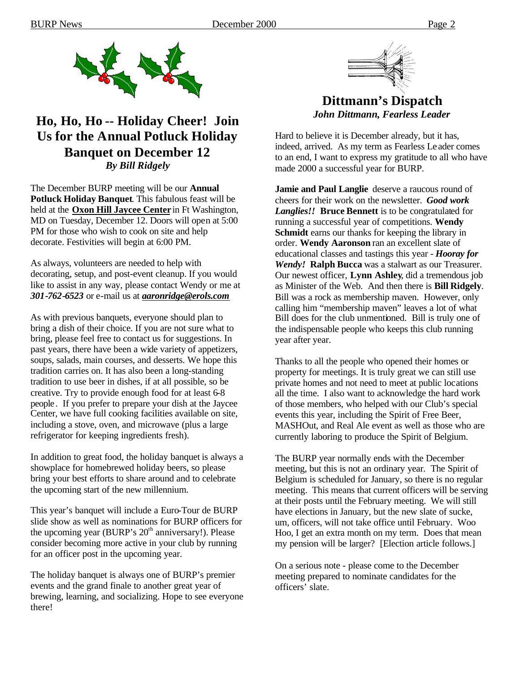

## **Ho, Ho, Ho -- Holiday Cheer! Join Us for the Annual Potluck Holiday Banquet on December 12** *By Bill Ridgely*

The December BURP meeting will be our **Annual Potluck Holiday Banquet**. This fabulous feast will be held at the **Oxon Hill Jaycee Center** in Ft Washington, MD on Tuesday, December 12. Doors will open at 5:00 PM for those who wish to cook on site and help decorate. Festivities will begin at 6:00 PM.

As always, volunteers are needed to help with decorating, setup, and post-event cleanup. If you would like to assist in any way, please contact Wendy or me at *301-762-6523* or e-mail us at *aaronridge@erols.com*

As with previous banquets, everyone should plan to bring a dish of their choice. If you are not sure what to bring, please feel free to contact us for suggestions. In past years, there have been a wide variety of appetizers, soups, salads, main courses, and desserts. We hope this tradition carries on. It has also been a long-standing tradition to use beer in dishes, if at all possible, so be creative. Try to provide enough food for at least 6-8 people. If you prefer to prepare your dish at the Jaycee Center, we have full cooking facilities available on site, including a stove, oven, and microwave (plus a large refrigerator for keeping ingredients fresh).

In addition to great food, the holiday banquet is always a showplace for homebrewed holiday beers, so please bring your best efforts to share around and to celebrate the upcoming start of the new millennium.

This year's banquet will include a Euro-Tour de BURP slide show as well as nominations for BURP officers for the upcoming year (BURP's  $20<sup>th</sup>$  anniversary!). Please consider becoming more active in your club by running for an officer post in the upcoming year.

The holiday banquet is always one of BURP's premier events and the grand finale to another great year of brewing, learning, and socializing. Hope to see everyone there!



### **Dittmann's Dispatch** *John Dittmann, Fearless Leader*

Hard to believe it is December already, but it has, indeed, arrived. As my term as Fearless Le ader comes to an end, I want to express my gratitude to all who have made 2000 a successful year for BURP.

**Jamie and Paul Langlie** deserve a raucous round of cheers for their work on the newsletter. *Good work Langlies!!* **Bruce Bennett** is to be congratulated for running a successful year of competitions. **Wendy Schmidt** earns our thanks for keeping the library in order. **Wendy Aaronson** ran an excellent slate of educational classes and tastings this year - *Hooray for Wendy!* **Ralph Bucca** was a stalwart as our Treasurer. Our newest officer, **Lynn Ashley**, did a tremendous job as Minister of the Web. And then there is **Bill Ridgely**. Bill was a rock as membership maven. However, only calling him "membership maven" leaves a lot of what Bill does for the club unmentioned. Bill is truly one of the indispensable people who keeps this club running year after year.

Thanks to all the people who opened their homes or property for meetings. It is truly great we can still use private homes and not need to meet at public locations all the time. I also want to acknowledge the hard work of those members, who helped with our Club's special events this year, including the Spirit of Free Beer, MASHOut, and Real Ale event as well as those who are currently laboring to produce the Spirit of Belgium.

The BURP year normally ends with the December meeting, but this is not an ordinary year. The Spirit of Belgium is scheduled for January, so there is no regular meeting. This means that current officers will be serving at their posts until the February meeting. We will still have elections in January, but the new slate of sucke, um, officers, will not take office until February. Woo Hoo, I get an extra month on my term. Does that mean my pension will be larger? [Election article follows.]

On a serious note - please come to the December meeting prepared to nominate candidates for the officers' slate.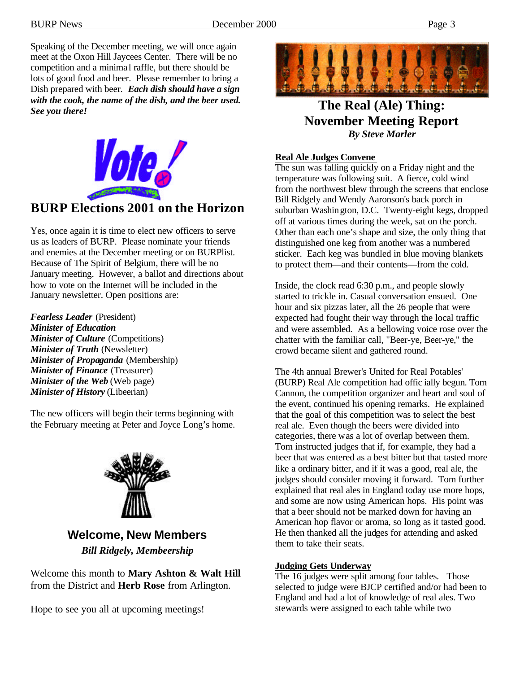Speaking of the December meeting, we will once again meet at the Oxon Hill Jaycees Center. There will be no competition and a minima l raffle, but there should be lots of good food and beer. Please remember to bring a Dish prepared with beer. *Each dish should have a sign with the cook, the name of the dish, and the beer used. See you there!*



## **BURP Elections 2001 on the Horizon**

Yes, once again it is time to elect new officers to serve us as leaders of BURP. Please nominate your friends and enemies at the December meeting or on BURPlist. Because of The Spirit of Belgium, there will be no January meeting. However, a ballot and directions about how to vote on the Internet will be included in the January newsletter. Open positions are:

*Fearless Leader* (President) *Minister of Education Minister of Culture* (Competitions) *Minister of Truth* (Newsletter) *Minister of Propaganda* (Membership) *Minister of Finance* (Treasurer) *Minister of the Web* (Web page) *Minister of History* (Libeerian)

The new officers will begin their terms beginning with the February meeting at Peter and Joyce Long's home.



**Welcome, New Members** *Bill Ridgely, Membeership*

Welcome this month to **Mary Ashton & Walt Hill** from the District and **Herb Rose** from Arlington.

Hope to see you all at upcoming meetings!



**The Real (Ale) Thing: November Meeting Report** *By Steve Marler*

#### **Real Ale Judges Convene**

The sun was falling quickly on a Friday night and the temperature was following suit. A fierce, cold wind from the northwest blew through the screens that enclose Bill Ridgely and Wendy Aaronson's back porch in suburban Washington, D.C. Twenty-eight kegs, dropped off at various times during the week, sat on the porch. Other than each one's shape and size, the only thing that distinguished one keg from another was a numbered sticker. Each keg was bundled in blue moving blankets to protect them—and their contents—from the cold.

Inside, the clock read 6:30 p.m., and people slowly started to trickle in. Casual conversation ensued. One hour and six pizzas later, all the 26 people that were expected had fought their way through the local traffic and were assembled. As a bellowing voice rose over the chatter with the familiar call, "Beer-ye, Beer-ye," the crowd became silent and gathered round.

The 4th annual Brewer's United for Real Potables' (BURP) Real Ale competition had offic ially begun. Tom Cannon, the competition organizer and heart and soul of the event, continued his opening remarks. He explained that the goal of this competition was to select the best real ale. Even though the beers were divided into categories, there was a lot of overlap between them. Tom instructed judges that if, for example, they had a beer that was entered as a best bitter but that tasted more like a ordinary bitter, and if it was a good, real ale, the judges should consider moving it forward. Tom further explained that real ales in England today use more hops, and some are now using American hops. His point was that a beer should not be marked down for having an American hop flavor or aroma, so long as it tasted good. He then thanked all the judges for attending and asked them to take their seats.

#### **Judging Gets Underway**

The 16 judges were split among four tables. Those selected to judge were BJCP certified and/or had been to England and had a lot of knowledge of real ales. Two stewards were assigned to each table while two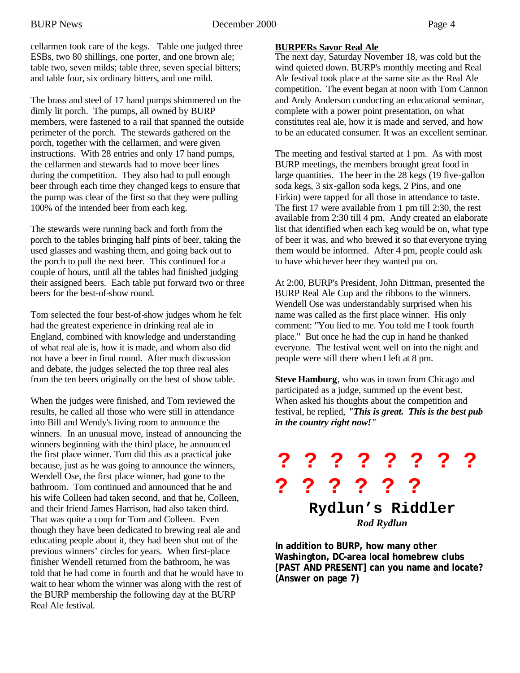cellarmen took care of the kegs. Table one judged three ESBs, two 80 shillings, one porter, and one brown ale; table two, seven milds; table three, seven special bitters; and table four, six ordinary bitters, and one mild.

The brass and steel of 17 hand pumps shimmered on the dimly lit porch. The pumps, all owned by BURP members, were fastened to a rail that spanned the outside perimeter of the porch. The stewards gathered on the porch, together with the cellarmen, and were given instructions. With 28 entries and only 17 hand pumps, the cellarmen and stewards had to move beer lines during the competition. They also had to pull enough beer through each time they changed kegs to ensure that the pump was clear of the first so that they were pulling 100% of the intended beer from each keg.

The stewards were running back and forth from the porch to the tables bringing half pints of beer, taking the used glasses and washing them, and going back out to the porch to pull the next beer. This continued for a couple of hours, until all the tables had finished judging their assigned beers. Each table put forward two or three beers for the best-of-show round.

Tom selected the four best-of-show judges whom he felt had the greatest experience in drinking real ale in England, combined with knowledge and understanding of what real ale is, how it is made, and whom also did not have a beer in final round. After much discussion and debate, the judges selected the top three real ales from the ten beers originally on the best of show table.

When the judges were finished, and Tom reviewed the results, he called all those who were still in attendance into Bill and Wendy's living room to announce the winners. In an unusual move, instead of announcing the winners beginning with the third place, he announced the first place winner. Tom did this as a practical joke because, just as he was going to announce the winners, Wendell Ose, the first place winner, had gone to the bathroom. Tom continued and announced that he and his wife Colleen had taken second, and that he, Colleen, and their friend James Harrison, had also taken third. That was quite a coup for Tom and Colleen. Even though they have been dedicated to brewing real ale and educating people about it, they had been shut out of the previous winners' circles for years. When first-place finisher Wendell returned from the bathroom, he was told that he had come in fourth and that he would have to wait to hear whom the winner was along with the rest of the BURP membership the following day at the BURP Real Ale festival.

#### **BURPERs Savor Real Ale**

The next day, Saturday November 18, was cold but the wind quieted down. BURP's monthly meeting and Real Ale festival took place at the same site as the Real Ale competition. The event began at noon with Tom Cannon and Andy Anderson conducting an educational seminar, complete with a power point presentation, on what constitutes real ale, how it is made and served, and how to be an educated consumer. It was an excellent seminar.

The meeting and festival started at 1 pm. As with most BURP meetings, the members brought great food in large quantities. The beer in the 28 kegs (19 five-gallon soda kegs, 3 six-gallon soda kegs, 2 Pins, and one Firkin) were tapped for all those in attendance to taste. The first 17 were available from 1 pm till 2:30, the rest available from 2:30 till 4 pm. Andy created an elaborate list that identified when each keg would be on, what type of beer it was, and who brewed it so that everyone trying them would be informed. After 4 pm, people could ask to have whichever beer they wanted put on.

At 2:00, BURP's President, John Dittman, presented the BURP Real Ale Cup and the ribbons to the winners. Wendell Ose was understandably surprised when his name was called as the first place winner. His only comment: "You lied to me. You told me I took fourth place." But once he had the cup in hand he thanked everyone. The festival went well on into the night and people were still there when I left at 8 pm.

**Steve Hamburg**, who was in town from Chicago and participated as a judge, summed up the event best. When asked his thoughts about the competition and festival, he replied, *"This is great. This is the best pub in the country right now!"*



**In addition to BURP, how many other Washington, DC-area local homebrew clubs [PAST AND PRESENT] can you name and locate? (Answer on page 7)**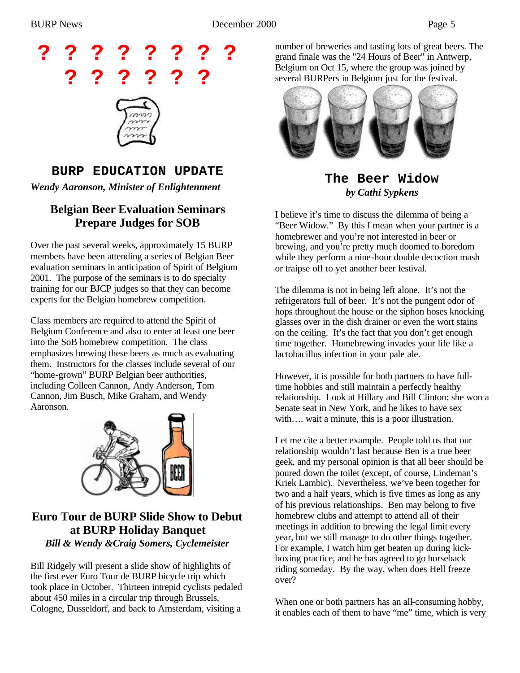

## **BURP EDUCATION UPDATE**

*Wendy Aaronson, Minister of Enlightenment*

#### **Belgian Beer Evaluation Seminars Prepare Judges for SOB**

Over the past several weeks, approximately 15 BURP members have been attending a series of Belgian Beer evaluation seminars in anticipation of Spirit of Belgium 2001. The purpose of the seminars is to do specialty training for our BJCP judges so that they can become experts for the Belgian homebrew competition.

Class members are required to attend the Spirit of Belgium Conference and also to enter at least one beer into the SoB homebrew competition. The class emphasizes brewing these beers as much as evaluating them. Instructors for the classes include several of our "home-grown" BURP Belgian beer authorities, including Colleen Cannon, Andy Anderson, Tom Cannon, Jim Busch, Mike Graham, and Wendy Aaronson.



#### **Euro Tour de BURP Slide Show to Debut at BURP Holiday Banquet** *Bill & Wendy &Craig Somers, Cyclemeister*

Bill Ridgely will present a slide show of highlights of the first ever Euro Tour de BURP bicycle trip which took place in October. Thirteen intrepid cyclists pedaled about 450 miles in a circular trip through Brussels, Cologne, Dusseldorf, and back to Amsterdam, visiting a

number of breweries and tasting lots of great beers. The grand finale was the "24 Hours of Beer" in Antwerp, Belgium on Oct 15, where the group was joined by several BURPers in Belgium just for the festival.



**The Beer Widow** *by Cathi Sypkens*

I believe it's time to discuss the dilemma of being a "Beer Widow." By this I mean when your partner is a homebrewer and you're not interested in beer or brewing, and you're pretty much doomed to boredom while they perform a nine-hour double decoction mash or traipse off to yet another beer festival.

The dilemma is not in being left alone. It's not the refrigerators full of beer. It's not the pungent odor of hops throughout the house or the siphon hoses knocking glasses over in the dish drainer or even the wort stains on the ceiling. It's the fact that you don't get enough time together. Homebrewing invades your life like a lactobacillus infection in your pale ale.

However, it is possible for both partners to have fulltime hobbies and still maintain a perfectly healthy relationship. Look at Hillary and Bill Clinton: she won a Senate seat in New York, and he likes to have sex with.... wait a minute, this is a poor illustration.

Let me cite a better example. People told us that our relationship wouldn't last because Ben is a true beer geek, and my personal opinion is that all beer should be poured down the toilet (except, of course, Lindeman's Kriek Lambic). Nevertheless, we've been together for two and a half years, which is five times as long as any of his previous relationships. Ben may belong to five homebrew clubs and attempt to attend all of their meetings in addition to brewing the legal limit every year, but we still manage to do other things together. For example, I watch him get beaten up during kickboxing practice, and he has agreed to go horseback riding someday. By the way, when does Hell freeze over?

When one or both partners has an all-consuming hobby, it enables each of them to have "me" time, which is very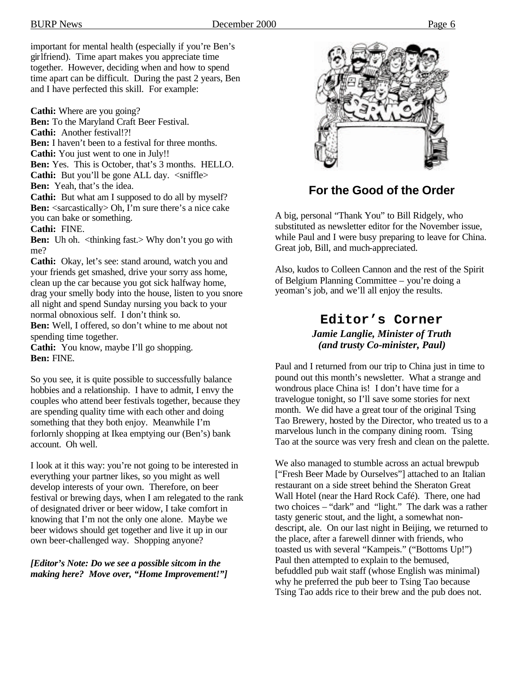important for mental health (especially if you're Ben's girlfriend). Time apart makes you appreciate time together. However, deciding when and how to spend time apart can be difficult. During the past 2 years, Ben and I have perfected this skill. For example:

**Cathi:** Where are you going?

**Ben:** To the Maryland Craft Beer Festival.

**Cathi:** Another festival!?!

**Ben:** I haven't been to a festival for three months.

**Cathi:** You just went to one in July!!

**Ben:** Yes. This is October, that's 3 months. HELLO.

**Cathi:** But you'll be gone ALL day.  $\langle$ sniffle>

**Ben:** Yeah, that's the idea.

**Cathi:** But what am I supposed to do all by myself? **Ben:** <sarcastically> Oh, I'm sure there's a nice cake you can bake or something.

**Cathi:** FINE.

**Ben:** Uh oh. <thinking fast.> Why don't you go with me?

**Cathi:** Okay, let's see: stand around, watch you and your friends get smashed, drive your sorry ass home, clean up the car because you got sick halfway home, drag your smelly body into the house, listen to you snore all night and spend Sunday nursing you back to your normal obnoxious self. I don't think so.

**Ben:** Well, I offered, so don't whine to me about not spending time together.

**Cathi:** You know, maybe I'll go shopping. **Ben:** FINE.

So you see, it is quite possible to successfully balance hobbies and a relationship. I have to admit, I envy the couples who attend beer festivals together, because they are spending quality time with each other and doing something that they both enjoy. Meanwhile I'm forlornly shopping at Ikea emptying our (Ben's) bank account. Oh well.

I look at it this way: you're not going to be interested in everything your partner likes, so you might as well develop interests of your own. Therefore, on beer festival or brewing days, when I am relegated to the rank of designated driver or beer widow, I take comfort in knowing that I'm not the only one alone. Maybe we beer widows should get together and live it up in our own beer-challenged way. Shopping anyone?

#### *[Editor's Note: Do we see a possible sitcom in the making here? Move over, "Home Improvement!"]*



## **For the Good of the Order**

A big, personal "Thank You" to Bill Ridgely, who substituted as newsletter editor for the November issue, while Paul and I were busy preparing to leave for China. Great job, Bill, and much-appreciated.

Also, kudos to Colleen Cannon and the rest of the Spirit of Belgium Planning Committee – you're doing a yeoman's job, and we'll all enjoy the results.

#### **Editor's Corner** *Jamie Langlie, Minister of Truth (and trusty Co-minister, Paul)*

Paul and I returned from our trip to China just in time to pound out this month's newsletter. What a strange and wondrous place China is! I don't have time for a travelogue tonight, so I'll save some stories for next month. We did have a great tour of the original Tsing Tao Brewery, hosted by the Director, who treated us to a marvelous lunch in the company dining room. Tsing Tao at the source was very fresh and clean on the palette.

We also managed to stumble across an actual brewpub ["Fresh Beer Made by Ourselves"] attached to an Italian restaurant on a side street behind the Sheraton Great Wall Hotel (near the Hard Rock Café). There, one had two choices – "dark" and "light." The dark was a rather tasty generic stout, and the light, a somewhat nondescript, ale. On our last night in Beijing, we returned to the place, after a farewell dinner with friends, who toasted us with several "Kampeis." ("Bottoms Up!") Paul then attempted to explain to the bemused, befuddled pub wait staff (whose English was minimal) why he preferred the pub beer to Tsing Tao because Tsing Tao adds rice to their brew and the pub does not.